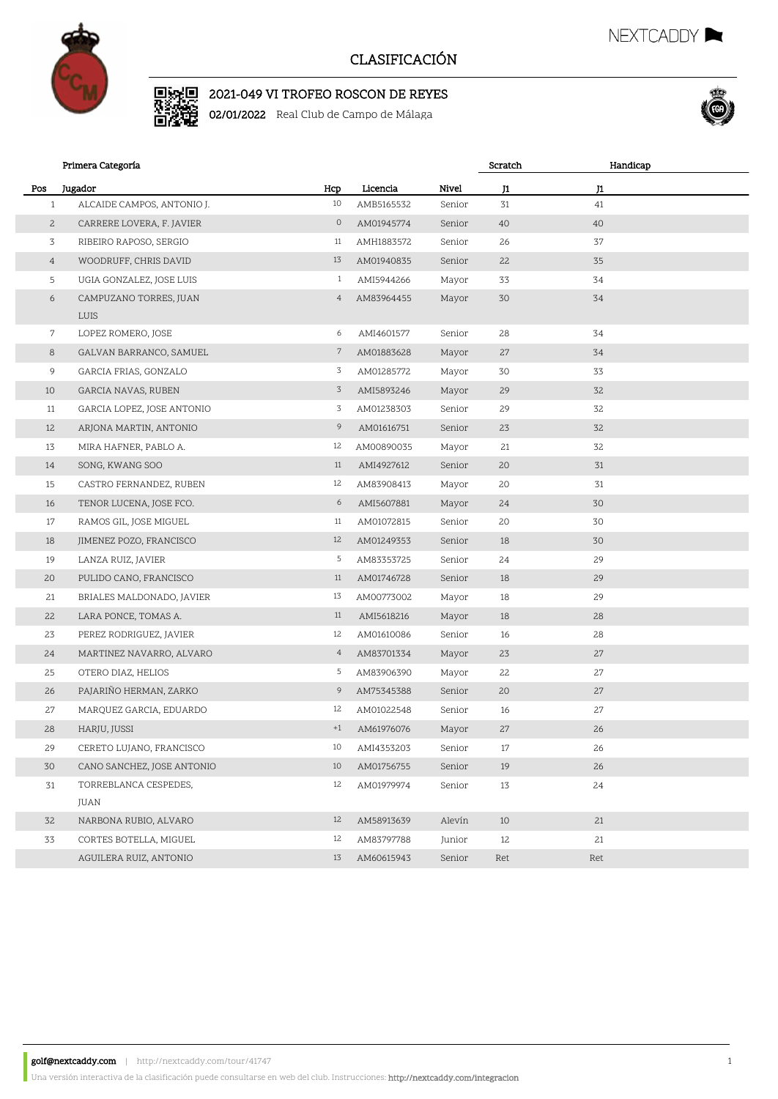

■ 235

## CLASIFICACIÓN

2021-049 VI TROFEO ROSCON DE REYES

02/01/2022 Real Club de Campo de Málaga



Handicap

NEXTCADDY

|              | Primera Categoría                          |                 |            |        | Scratch | Handicap |  |
|--------------|--------------------------------------------|-----------------|------------|--------|---------|----------|--|
| Pos          | Jugador                                    | Hcp             | Licencia   | Nivel  | J1      | J1       |  |
|              | ALCAIDE CAMPOS, ANTONIO J.<br>$\mathbf{1}$ | 10              | AMB5165532 | Senior | 31      | 41       |  |
| $\mathbf{2}$ | CARRERE LOVERA, F. JAVIER                  | $\circ$         | AM01945774 | Senior | 40      | 40       |  |
| 3            | RIBEIRO RAPOSO, SERGIO                     | 11              | AMH1883572 | Senior | 26      | 37       |  |
|              | $\overline{4}$<br>WOODRUFF, CHRIS DAVID    | 13              | AM01940835 | Senior | 22      | 35       |  |
| 5            | UGIA GONZALEZ, JOSE LUIS                   | $\mathbf{1}$    | AMI5944266 | Mayor  | 33      | 34       |  |
|              | 6<br>CAMPUZANO TORRES, JUAN                | $\overline{4}$  | AM83964455 | Mayor  | 30      | 34       |  |
|              | LUIS                                       |                 |            |        |         |          |  |
|              | $7\overline{ }$<br>LOPEZ ROMERO, JOSE      | 6               | AMI4601577 | Senior | 28      | 34       |  |
| 8            | GALVAN BARRANCO, SAMUEL                    | 7               | AM01883628 | Mayor  | 27      | 34       |  |
| 9            | GARCIA FRIAS, GONZALO                      | 3               | AM01285772 | Mayor  | 30      | 33       |  |
| 10           | GARCIA NAVAS, RUBEN                        | 3               | AMI5893246 | Mayor  | 29      | 32       |  |
| 11           | GARCIA LOPEZ, JOSE ANTONIO                 | 3               | AM01238303 | Senior | 29      | 32       |  |
| 12           | ARJONA MARTIN, ANTONIO                     | 9               | AM01616751 | Senior | 23      | 32       |  |
| 13           | MIRA HAFNER, PABLO A.                      | 12              | AM00890035 | Mayor  | 21      | 32       |  |
| 14           | SONG, KWANG SOO                            | 11              | AMI4927612 | Senior | 20      | 31       |  |
| 15           | CASTRO FERNANDEZ, RUBEN                    | 12              | AM83908413 | Mayor  | 20      | 31       |  |
| 16           | TENOR LUCENA, JOSE FCO.                    | 6               | AMI5607881 | Mayor  | 24      | 30       |  |
| 17           | RAMOS GIL, JOSE MIGUEL                     | 11              | AM01072815 | Senior | 20      | 30       |  |
| 18           | JIMENEZ POZO, FRANCISCO                    | 12              | AM01249353 | Senior | 18      | 30       |  |
| 19           | LANZA RUIZ, JAVIER                         | 5               | AM83353725 | Senior | 24      | 29       |  |
| 20           | PULIDO CANO, FRANCISCO                     | 11              | AM01746728 | Senior | 18      | 29       |  |
| 21           | BRIALES MALDONADO, JAVIER                  | 13              | AM00773002 | Mayor  | 18      | 29       |  |
| 22           | LARA PONCE, TOMAS A.                       | 11              | AMI5618216 | Mayor  | 18      | 28       |  |
| 23           | PEREZ RODRIGUEZ, JAVIER                    | 12              | AM01610086 | Senior | 16      | 28       |  |
| 24           | MARTINEZ NAVARRO, ALVARO                   | $4\overline{ }$ | AM83701334 | Mayor  | 23      | 27       |  |
| 25           | OTERO DIAZ, HELIOS                         | 5               | AM83906390 | Mayor  | 22      | 27       |  |
| 26           | PAJARIÑO HERMAN, ZARKO                     | 9               | AM75345388 | Senior | 20      | 27       |  |
| 27           | MARQUEZ GARCIA, EDUARDO                    | 12              | AM01022548 | Senior | 16      | 27       |  |
| 28           | HARJU, JUSSI                               | $+1$            | AM61976076 | Mayor  | 27      | 26       |  |
| 29           | CERETO LUJANO, FRANCISCO                   | 10              | AMI4353203 | Senior | 17      | 26       |  |
| 30           | CANO SANCHEZ, JOSE ANTONIO                 | 10              | AM01756755 | Senior | 19      | 26       |  |
| 31           | TORREBLANCA CESPEDES,                      | 12              | AM01979974 | Senior | 13      | 24       |  |
|              | JUAN                                       |                 |            |        |         |          |  |
| 32           | NARBONA RUBIO, ALVARO                      | 12              | AM58913639 | Alevín | 10      | 21       |  |
| 33           | CORTES BOTELLA, MIGUEL                     | 12              | AM83797788 | Junior | 12      | 21       |  |
|              | AGUILERA RUIZ, ANTONIO                     | 13              | AM60615943 | Senior | Ret     | Ret      |  |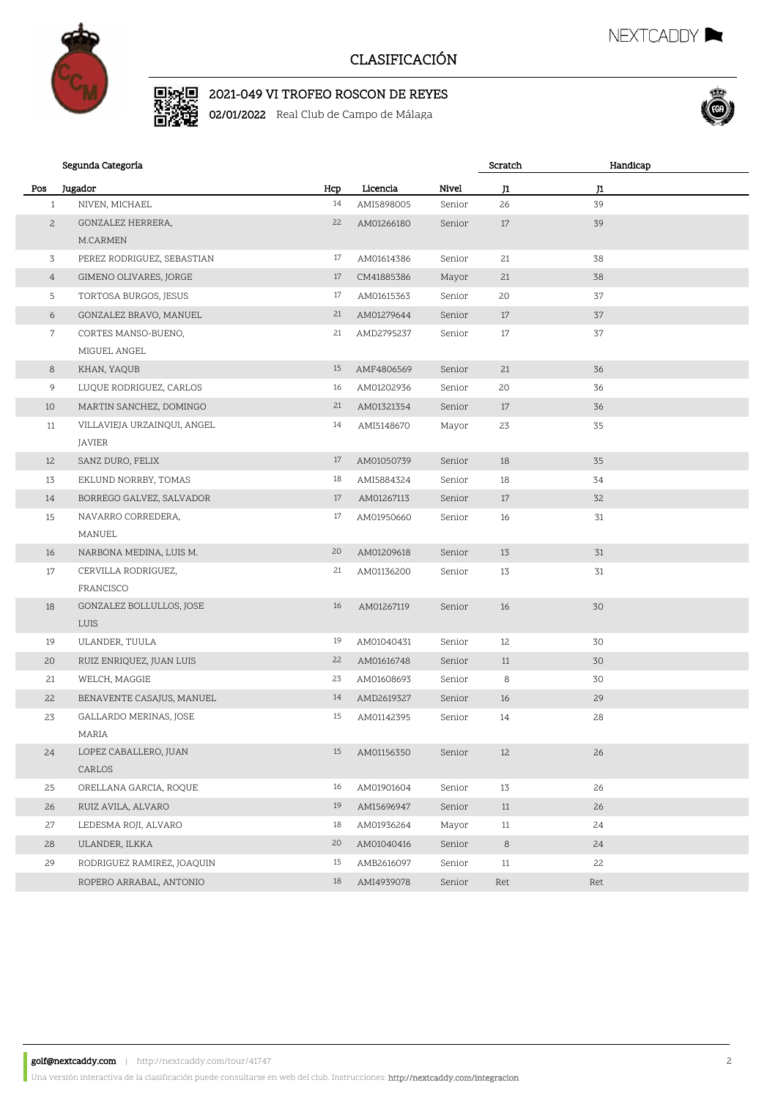

驣

## CLASIFICACIÓN

# 2021-049 VI TROFEO ROSCON DE REYES

02/01/2022 Real Club de Campo de Málaga



NEXTCADDY **NEXTCADDY** 

### Segunda Categoría Pos Jugador Hcp Licencia Nivel J1 Scratch J1 Handicap 1 NIVEN, MICHAEL 14 AMI5898005 Senior 26 39 GONZALEZ HERRERA, 22 AM01266180 Senior 17 39 M.CARMEN 2 3 PEREZ RODRIGUEZ, SEBASTIAN 17 AM01614386 Senior 21 38 4 GIMENO OLIVARES, JORGE 17 CM41885386 Mayor 21 38 5 TORTOSA BURGOS, JESUS 17 AM01615363 Senior 20 37 6 GONZALEZ BRAVO, MANUEL 21 AM01279644 Senior 17 37 CORTES MANSO-BUENO, 21 AMD2795237 Senior 17 37 MIGUEL ANGEL 7 8 KHAN, YAQUB 15 AMF4806569 Senior 21 36 9 LUQUE RODRIGUEZ, CARLOS 16 AM01202936 Senior 20 36 10 MARTIN SANCHEZ, DOMINGO 21 AM01321354 Senior 17 36 VILLAVIEJA URZAINQUI, ANGEL 14 AMI5148670 Mayor 23 35 JAVIER 11 12 SANZ DURO, FELIX 17 AM01050739 Senior 18 35 13 EKLUND NORRBY, TOMAS 18 AMI5884324 Senior 18 34 14 BORREGO GALVEZ, SALVADOR 17 AM01267113 Senior 17 32 NAVARRO CORREDERA, 17 AM01950660 Senior 16 31 MANUEL 15 16 NARBONA MEDINA, LUIS M. 20 AM01209618 Senior 13 31 CERVILLA RODRIGUEZ, 21 AM01136200 Senior 13 31 FRANCISCO 17 GONZALEZ BOLLULLOS, JOSE 16 AM01267119 Senior 16 30 LUIS 18 19 ULANDER, TUULA 19 AM01040431 Senior 12 30 20 RUIZ ENRIQUEZ, JUAN LUIS 22 AM01616748 Senior 11 30 21 WELCH, MAGGIE 23 AM01608693 Senior 8 30 22 BENAVENTE CASAJUS, MANUEL 14 AMD2619327 Senior 16 29 GALLARDO MERINAS, JOSE 15 AM01142395 Senior 14 28 MARIA 23 LOPEZ CABALLERO, JUAN 15 AM01156350 Senior 12 26 CARLOS 24 25 ORELLANA GARCIA, ROQUE 16 AM01901604 Senior 13 26 26 RUIZ AVILA, ALVARO 19 AM15696947 Senior 11 26 27 LEDESMA ROJI, ALVARO 18 AM01936264 Mayor 11 24 28 ULANDER, ILKKA 20 AM01040416 Senior 8 24 29 RODRIGUEZ RAMIREZ, JOAQUIN 15 AMB2616097 Senior 11 22 ROPERO ARRABAL, ANTONIO 18 AMI4939078 Senior Ret Ret